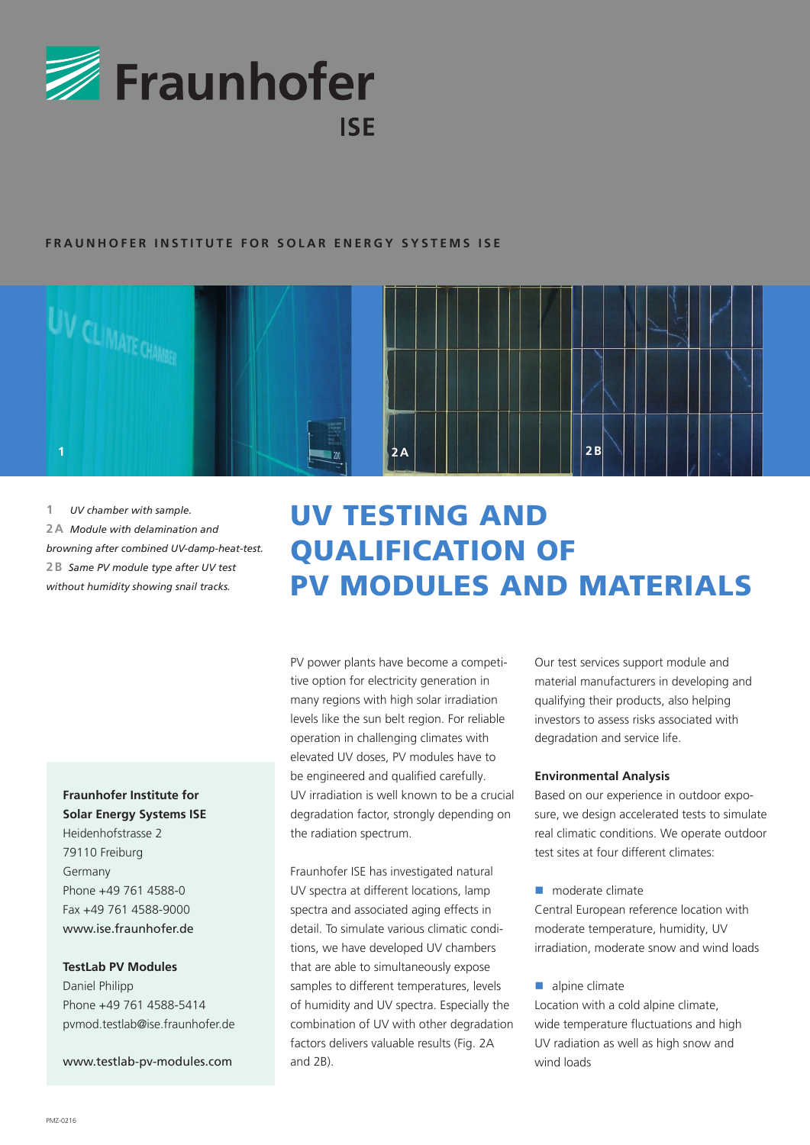

## **FRAUNHOFER INSTITUTE FOR SOLAR ENERGY SYSTEMS ISE**



**1A** *UV chamber with sample.* **2A** *Module with delamination and browning after combined UV-damp-heat-test.* **2B** *Same PV module type after UV test without humidity showing snail tracks.*

# **Fraunhofer Institute for Solar Energy Systems ISE**

Heidenhofstrasse 2 79110 Freiburg Germany Phone +49 761 4588-0 Fax +49 761 4588-9000 www.ise.fraunhofer.de

#### **TestLab PV Modules**

Daniel Philipp Phone +49 761 4588-5414 pvmod.testlab@ise.fraunhofer.de

www.testlab-pv-modules.com

# UV TESTING AND QUALIFICATION OF PV MODULES AND MATERIALS

PV power plants have become a competitive option for electricity generation in many regions with high solar irradiation levels like the sun belt region. For reliable operation in challenging climates with elevated UV doses, PV modules have to be engineered and qualified carefully. UV irradiation is well known to be a crucial degradation factor, strongly depending on the radiation spectrum.

Fraunhofer ISE has investigated natural UV spectra at different locations, lamp spectra and associated aging effects in detail. To simulate various climatic conditions, we have developed UV chambers that are able to simultaneously expose samples to different temperatures, levels of humidity and UV spectra. Especially the combination of UV with other degradation factors delivers valuable results (Fig. 2A and 2B).

Our test services support module and material manufacturers in developing and qualifying their products, also helping investors to assess risks associated with degradation and service life.

#### **Environmental Analysis**

Based on our experience in outdoor exposure, we design accelerated tests to simulate real climatic conditions. We operate outdoor test sites at four different climates:

 $\blacksquare$  moderate climate

Central European reference location with moderate temperature, humidity, UV irradiation, moderate snow and wind loads

 $\blacksquare$  alpine climate

Location with a cold alpine climate, wide temperature fluctuations and high UV radiation as well as high snow and wind loads